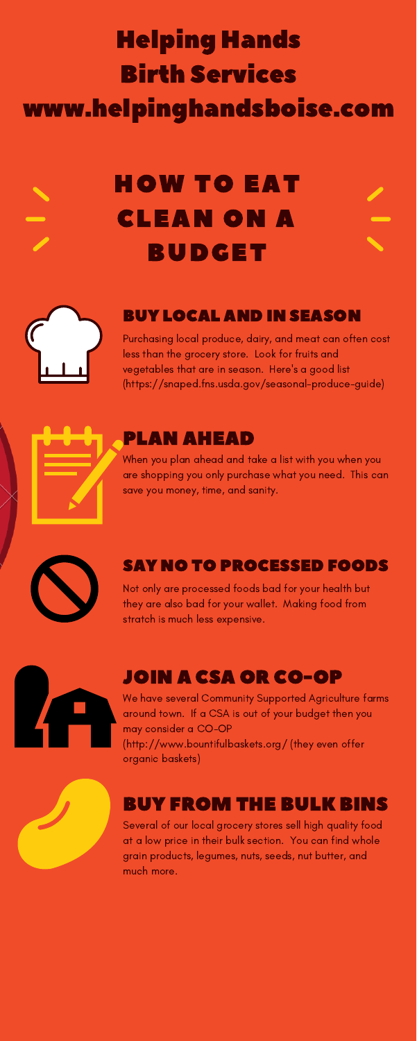# HOW TO EAT CLEAN ON A BUDGET



#### BUY LOCAL AND IN SEASON

Purchasing local produce, dairy, and meat can often cost less than the grocery store. Look for fruits and vegetables that are in season. Here's a good list (https://snaped.fns.usda.gov/seasonal-produce-guide)



#### SAY NO TO PROCESSED FOODS

Not only are processed foods bad for your health but they are also bad for your wallet. Making food from stratch is much less expensive.



## JOIN A CSA OR CO-OP

We have several Community Supported Agriculture farms around town. If a CSA is out of your budget then you may consider a CO-OP (http://www.bountifulbaskets.org/ (they even offer organic baskets)



# BUY FROM THE BULK BINS

Several of our local grocery stores sell high quality food at a low price in their bulk section. You can find whole grain products, legumes, nuts, seeds, nut butter, and much more.

#### PLAN AHEAD

When you plan ahead and take a list with you when you are shopping you only purchase what you need. This can save you money, time, and sanity.



# Helping Hands Birth Services www.helpinghandsboise.com